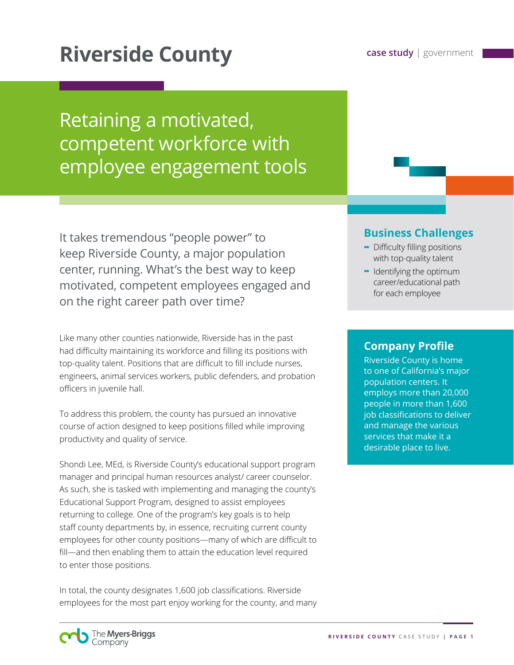# **Riverside County case study** | government

Retaining a motivated, competent workforce with employee engagement tools

It takes tremendous "people power" to keep Riverside County, a major population center, running. What's the best way to keep motivated, competent employees engaged and on the right career path over time?

Like many other counties nationwide, Riverside has in the past had difficulty maintaining its workforce and filling its positions with top-quality talent. Positions that are difficult to fill include nurses, engineers, animal services workers, public defenders, and probation officers in juvenile hall.

To address this problem, the county has pursued an innovative course of action designed to keep positions filled while improving productivity and quality of service.

Shondi Lee, MEd, is Riverside County's educational support program manager and principal human resources analyst/ career counselor. As such, she is tasked with implementing and managing the county's Educational Support Program, designed to assist employees returning to college. One of the program's key goals is to help staff county departments by, in essence, recruiting current county employees for other county positions—many of which are difficult to fill—and then enabling them to attain the education level required to enter those positions.

In total, the county designates 1,600 job classifications. Riverside employees for the most part enjoy working for the county, and many

### **Business Challenges**

- **-** Difficulty filling positions with top-quality talent
- **-** Identifying the optimum career/educational path for each employee

#### **Company Profile**

Riverside County is home to one of California's major population centers. It employs more than 20,000 people in more than 1,600 job classifications to deliver and manage the various services that make it a desirable place to live.

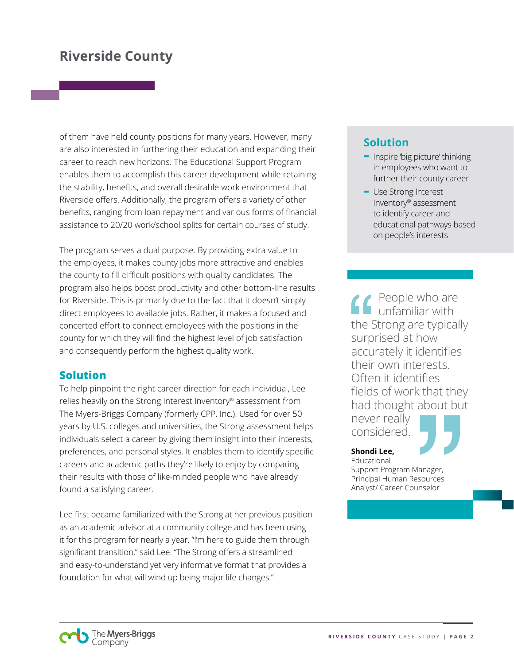of them have held county positions for many years. However, many are also interested in furthering their education and expanding their career to reach new horizons. The Educational Support Program enables them to accomplish this career development while retaining the stability, benefits, and overall desirable work environment that Riverside offers. Additionally, the program offers a variety of other benefits, ranging from loan repayment and various forms of financial assistance to 20/20 work/school splits for certain courses of study.

The program serves a dual purpose. By providing extra value to the employees, it makes county jobs more attractive and enables the county to fill difficult positions with quality candidates. The program also helps boost productivity and other bottom-line results for Riverside. This is primarily due to the fact that it doesn't simply direct employees to available jobs. Rather, it makes a focused and concerted effort to connect employees with the positions in the county for which they will find the highest level of job satisfaction and consequently perform the highest quality work.

### **Solution**

To help pinpoint the right career direction for each individual, Lee relies heavily on the Strong Interest Inventory® assessment from The Myers-Briggs Company (formerly CPP, Inc.). Used for over 50 years by U.S. colleges and universities, the Strong assessment helps individuals select a career by giving them insight into their interests, preferences, and personal styles. It enables them to identify specific careers and academic paths they're likely to enjoy by comparing their results with those of like-minded people who have already found a satisfying career.

Lee first became familiarized with the Strong at her previous position as an academic advisor at a community college and has been using it for this program for nearly a year. "I'm here to guide them through significant transition," said Lee. "The Strong offers a streamlined and easy-to-understand yet very informative format that provides a foundation for what will wind up being major life changes."

## **Solution**

- **-** Inspire 'big picture' thinking in employees who want to further their county career
- **-** Use Strong Interest Inventory® assessment to identify career and educational pathways based on people's interests

People who are unfamiliar with the Strong are typically surprised at how accurately it identifies their own interests. Often it identifies fields of work that they had thought about but never really considered.

#### **Shondi Lee,**

Educational Support Program Manager, Principal Human Resources Analyst/ Career Counselor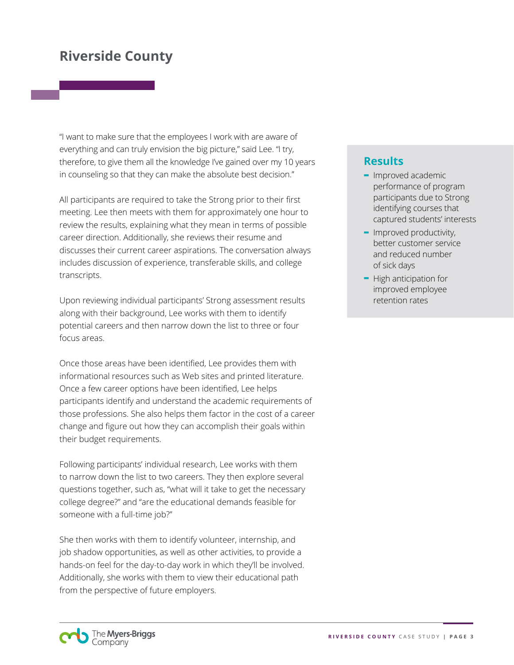"I want to make sure that the employees I work with are aware of everything and can truly envision the big picture," said Lee. "I try, therefore, to give them all the knowledge I've gained over my 10 years in counseling so that they can make the absolute best decision."

All participants are required to take the Strong prior to their first meeting. Lee then meets with them for approximately one hour to review the results, explaining what they mean in terms of possible career direction. Additionally, she reviews their resume and discusses their current career aspirations. The conversation always includes discussion of experience, transferable skills, and college transcripts.

Upon reviewing individual participants' Strong assessment results along with their background, Lee works with them to identify potential careers and then narrow down the list to three or four focus areas.

Once those areas have been identified, Lee provides them with informational resources such as Web sites and printed literature. Once a few career options have been identified, Lee helps participants identify and understand the academic requirements of those professions. She also helps them factor in the cost of a career change and figure out how they can accomplish their goals within their budget requirements.

Following participants' individual research, Lee works with them to narrow down the list to two careers. They then explore several questions together, such as, "what will it take to get the necessary college degree?" and "are the educational demands feasible for someone with a full-time job?"

She then works with them to identify volunteer, internship, and job shadow opportunities, as well as other activities, to provide a hands-on feel for the day-to-day work in which they'll be involved. Additionally, she works with them to view their educational path from the perspective of future employers.

## **Results**

- **-** Improved academic performance of program participants due to Strong identifying courses that captured students' interests
- **-** Improved productivity, better customer service and reduced number of sick days
- **-** High anticipation for improved employee retention rates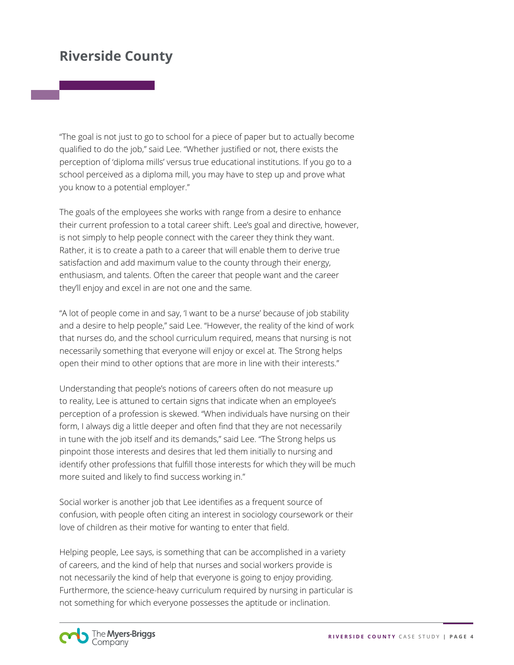"The goal is not just to go to school for a piece of paper but to actually become qualified to do the job," said Lee. "Whether justified or not, there exists the perception of 'diploma mills' versus true educational institutions. If you go to a school perceived as a diploma mill, you may have to step up and prove what you know to a potential employer."

The goals of the employees she works with range from a desire to enhance their current profession to a total career shift. Lee's goal and directive, however, is not simply to help people connect with the career they think they want. Rather, it is to create a path to a career that will enable them to derive true satisfaction and add maximum value to the county through their energy, enthusiasm, and talents. Often the career that people want and the career they'll enjoy and excel in are not one and the same.

"A lot of people come in and say, 'I want to be a nurse' because of job stability and a desire to help people," said Lee. "However, the reality of the kind of work that nurses do, and the school curriculum required, means that nursing is not necessarily something that everyone will enjoy or excel at. The Strong helps open their mind to other options that are more in line with their interests."

Understanding that people's notions of careers often do not measure up to reality, Lee is attuned to certain signs that indicate when an employee's perception of a profession is skewed. "When individuals have nursing on their form, I always dig a little deeper and often find that they are not necessarily in tune with the job itself and its demands," said Lee. "The Strong helps us pinpoint those interests and desires that led them initially to nursing and identify other professions that fulfill those interests for which they will be much more suited and likely to find success working in."

Social worker is another job that Lee identifies as a frequent source of confusion, with people often citing an interest in sociology coursework or their love of children as their motive for wanting to enter that field.

Helping people, Lee says, is something that can be accomplished in a variety of careers, and the kind of help that nurses and social workers provide is not necessarily the kind of help that everyone is going to enjoy providing. Furthermore, the science-heavy curriculum required by nursing in particular is not something for which everyone possesses the aptitude or inclination.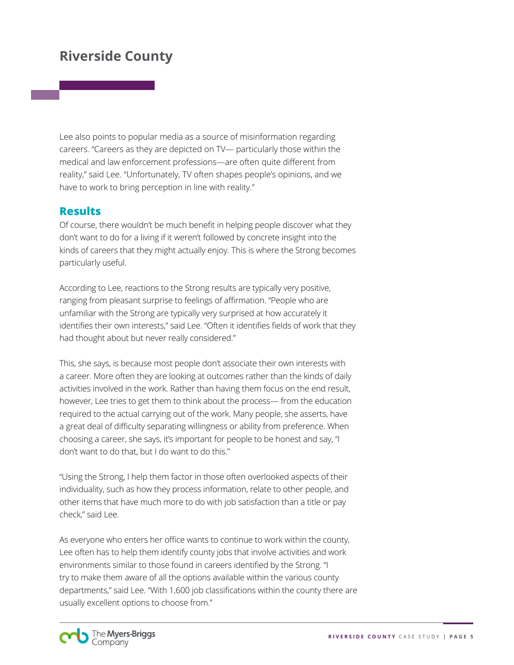Lee also points to popular media as a source of misinformation regarding careers. "Careers as they are depicted on TV— particularly those within the medical and law enforcement professions—are often quite different from reality," said Lee. "Unfortunately, TV often shapes people's opinions, and we have to work to bring perception in line with reality."

#### **Results**

Of course, there wouldn't be much benefit in helping people discover what they don't want to do for a living if it weren't followed by concrete insight into the kinds of careers that they might actually enjoy. This is where the Strong becomes particularly useful.

According to Lee, reactions to the Strong results are typically very positive, ranging from pleasant surprise to feelings of affirmation. "People who are unfamiliar with the Strong are typically very surprised at how accurately it identifies their own interests," said Lee. "Often it identifies fields of work that they had thought about but never really considered."

This, she says, is because most people don't associate their own interests with a career. More often they are looking at outcomes rather than the kinds of daily activities involved in the work. Rather than having them focus on the end result, however, Lee tries to get them to think about the process— from the education required to the actual carrying out of the work. Many people, she asserts, have a great deal of difficulty separating willingness or ability from preference. When choosing a career, she says, it's important for people to be honest and say, "I don't want to do that, but I do want to do this."

"Using the Strong, I help them factor in those often overlooked aspects of their individuality, such as how they process information, relate to other people, and other items that have much more to do with job satisfaction than a title or pay check," said Lee.

As everyone who enters her office wants to continue to work within the county, Lee often has to help them identify county jobs that involve activities and work environments similar to those found in careers identified by the Strong. "I try to make them aware of all the options available within the various county departments," said Lee. "With 1,600 job classifications within the county there are usually excellent options to choose from."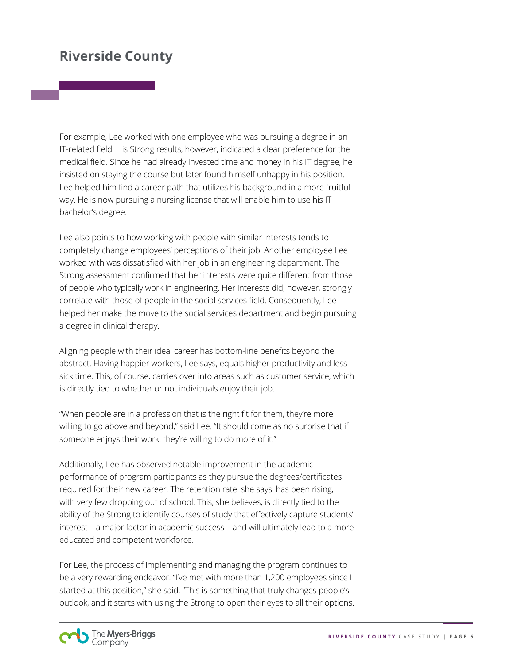For example, Lee worked with one employee who was pursuing a degree in an IT-related field. His Strong results, however, indicated a clear preference for the medical field. Since he had already invested time and money in his IT degree, he insisted on staying the course but later found himself unhappy in his position. Lee helped him find a career path that utilizes his background in a more fruitful way. He is now pursuing a nursing license that will enable him to use his IT bachelor's degree.

Lee also points to how working with people with similar interests tends to completely change employees' perceptions of their job. Another employee Lee worked with was dissatisfied with her job in an engineering department. The Strong assessment confirmed that her interests were quite different from those of people who typically work in engineering. Her interests did, however, strongly correlate with those of people in the social services field. Consequently, Lee helped her make the move to the social services department and begin pursuing a degree in clinical therapy.

Aligning people with their ideal career has bottom-line benefits beyond the abstract. Having happier workers, Lee says, equals higher productivity and less sick time. This, of course, carries over into areas such as customer service, which is directly tied to whether or not individuals enjoy their job.

"When people are in a profession that is the right fit for them, they're more willing to go above and beyond," said Lee. "It should come as no surprise that if someone enjoys their work, they're willing to do more of it."

Additionally, Lee has observed notable improvement in the academic performance of program participants as they pursue the degrees/certificates required for their new career. The retention rate, she says, has been rising, with very few dropping out of school. This, she believes, is directly tied to the ability of the Strong to identify courses of study that effectively capture students' interest—a major factor in academic success—and will ultimately lead to a more educated and competent workforce.

For Lee, the process of implementing and managing the program continues to be a very rewarding endeavor. "I've met with more than 1,200 employees since I started at this position," she said. "This is something that truly changes people's outlook, and it starts with using the Strong to open their eyes to all their options.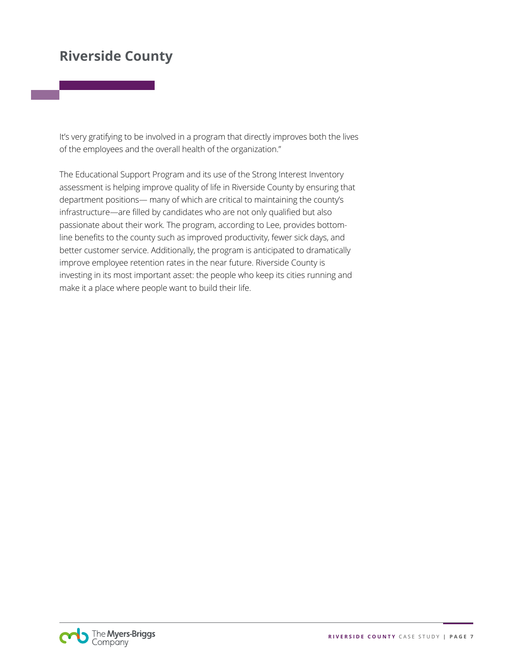It's very gratifying to be involved in a program that directly improves both the lives of the employees and the overall health of the organization."

The Educational Support Program and its use of the Strong Interest Inventory assessment is helping improve quality of life in Riverside County by ensuring that department positions— many of which are critical to maintaining the county's infrastructure—are filled by candidates who are not only qualified but also passionate about their work. The program, according to Lee, provides bottomline benefits to the county such as improved productivity, fewer sick days, and better customer service. Additionally, the program is anticipated to dramatically improve employee retention rates in the near future. Riverside County is investing in its most important asset: the people who keep its cities running and make it a place where people want to build their life.